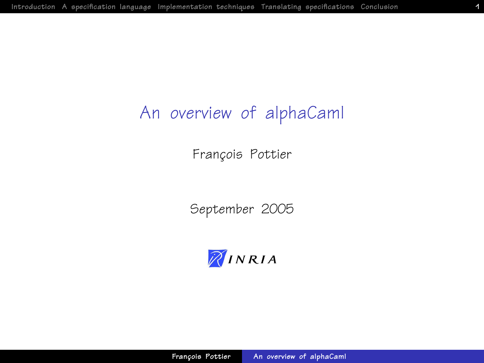## An overview of alphaCaml

François Pottier

September 2005

<span id="page-0-0"></span>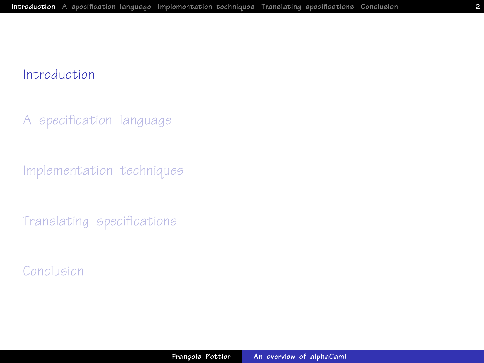[A specification language](#page-4-0)

[Implementation techniques](#page-14-0)

<span id="page-1-0"></span>[Translating specifications](#page-17-0)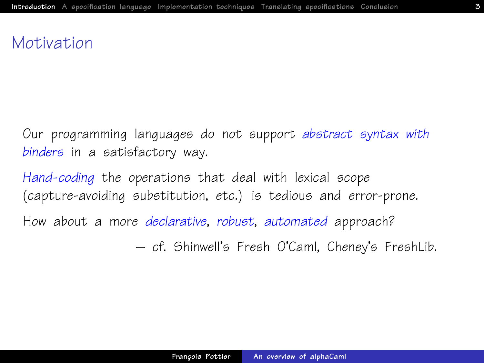## Motivation

Our programming languages do not support abstract syntax with binders in a satisfactory way.

Hand-coding the operations that deal with lexical scope (capture-avoiding substitution, etc.) is tedious and error-prone.

How about a more *declarative, robust, automated* approach?

– cf. Shinwell's Fresh O'Caml, Cheney's FreshLib.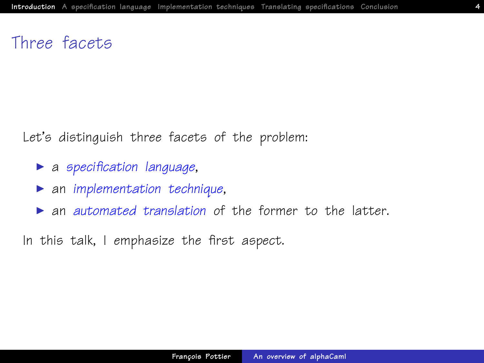## Three facets

Let's distinguish three facets of the problem:

- $\blacktriangleright$  a specification language,
- $\triangleright$  an implementation technique,
- $\triangleright$  an automated translation of the former to the latter.

In this talk, I emphasize the first aspect.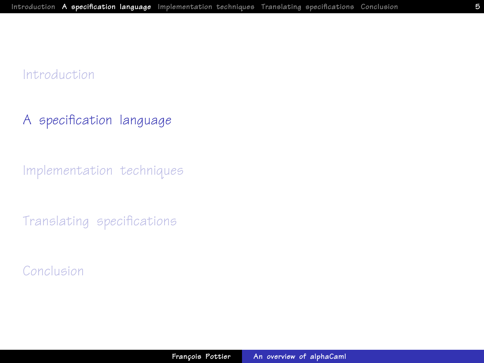### [A specification language](#page-4-0)

[Implementation techniques](#page-14-0)

<span id="page-4-0"></span>[Translating specifications](#page-17-0)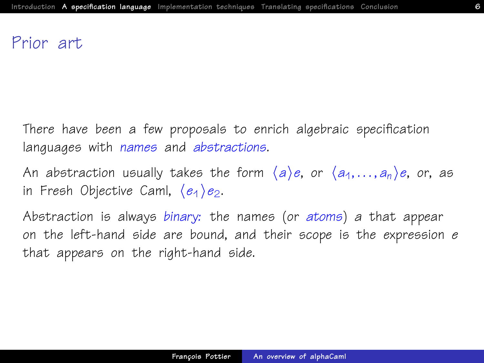### Prior art

There have been a few proposals to enrich algebraic specification languages with names and abstractions.

An abstraction usually takes the form  $\langle a \rangle e$ , or  $\langle a_1, \ldots, a_n \rangle e$ , or, as in Fresh Objective Caml,  $\langle e_1 \rangle e_2$ .

Abstraction is always binary: the names (or atoms) a that appear on the left-hand side are bound, and their scope is the expression  $e$ that appears on the right-hand side.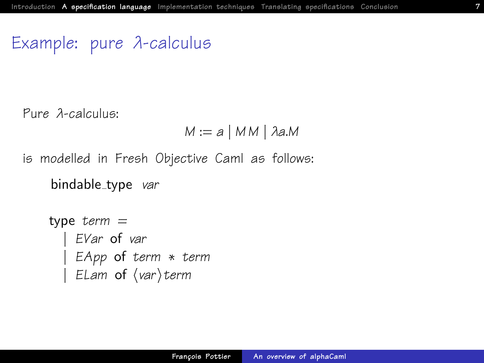## Example: pure λ-calculus

Pure λ-calculus:

$$
M := a \mid MM \mid \lambda a.M
$$

is modelled in Fresh Objective Caml as follows:

bindable\_type var

```
type term =| EVar of var
 | EApp of term ∗ term
| ELam of \langle var \rangleterm
```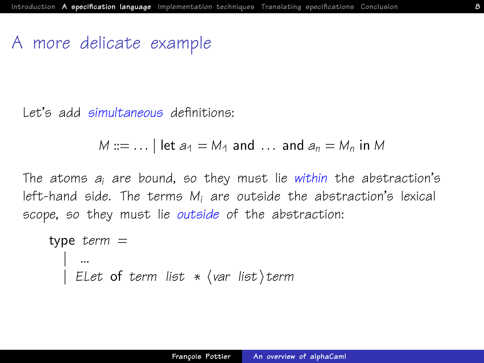### A more delicate example

Let's add simultaneous definitions:

$$
M ::= \dots |
$$
 let  $a_1 = M_1$  and  $\dots$  and  $a_n = M_n$  in M

The atoms  $a_i$  are bound, so they must lie within the abstraction's left-hand side. The terms  $M_i$  are outside the abstraction's lexical scope, so they must lie outside of the abstraction:

```
type term =| ...
  ELet of term list \ast \langle var list\rangleterm
```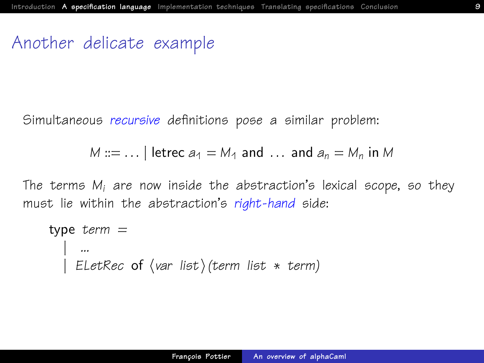### Another delicate example

Simultaneous recursive definitions pose a similar problem:

```
M ::= ... letrec a_1 = M_1 and ... and a_n = M_n in M
```
The terms  $M_i$  are now inside the abstraction's lexical scope, so they must lie within the abstraction's right-hand side:

```
type term =| ...
| ELetRec of \langle var list)(term list * term)
```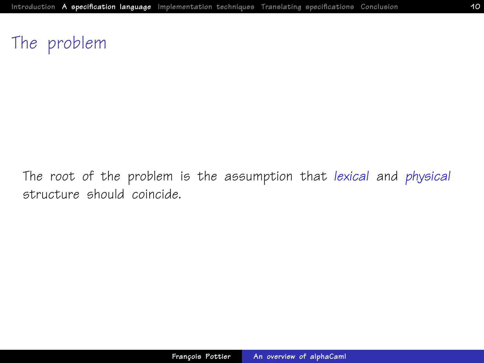## The problem

The root of the problem is the assumption that lexical and physical structure should coincide.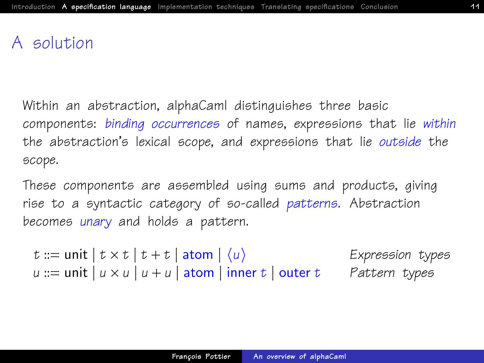## A solution

Within an abstraction, alphaCaml distinguishes three basic components: binding occurrences of names, expressions that lie within the abstraction's lexical scope, and expressions that lie outside the scope.

These components are assembled using sums and products, giving rise to a syntactic category of so-called patterns. Abstraction becomes unary and holds a pattern.

t ::= unit  $| t \times t | t + t |$  atom  $| \langle u \rangle$  Expression types  $u ::= unit \mid u \times u \mid u + u \mid atom \mid inner \mid outer \mid t$  Pattern types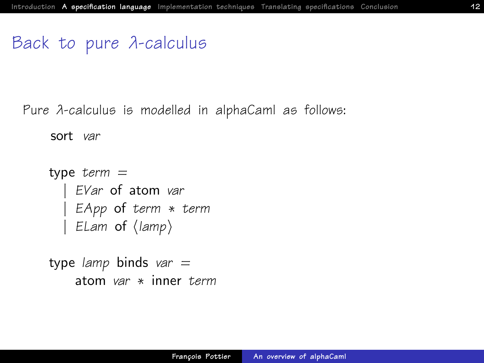## Back to pure λ-calculus

Pure λ-calculus is modelled in alphaCaml as follows:

sort var

```
type term =EVar of atom var
 | EApp of term ∗ term
 ELam of \langlelamp\rangle
```
type lamp binds var  $=$ atom var ∗ inner term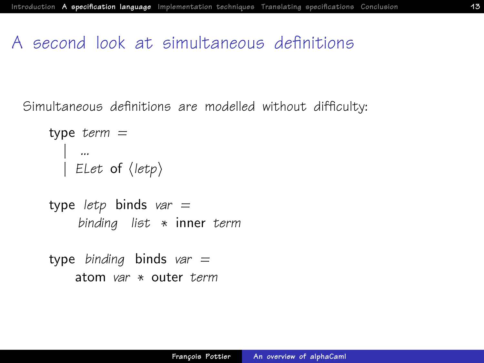## A second look at simultaneous definitions

Simultaneous definitions are modelled without difficulty:

```
type term =| ...
| ELet of \langleletp\rangle
```

```
type letp binds var =binding list ∗ inner term
```
type binding binds var  $=$ atom var ∗ outer term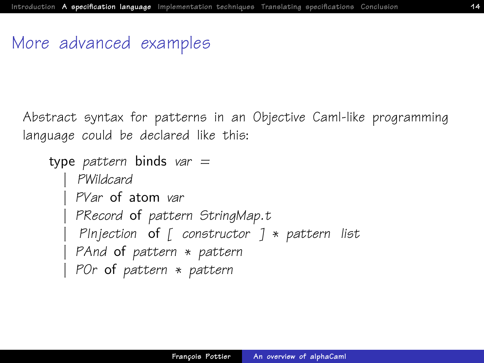## More advanced examples

Abstract syntax for patterns in an Objective Caml-like programming language could be declared like this:

```
type pattern binds var =| PWildcard
  PVar of atom var
  PRecord of pattern StringMap.t
  PInjection of \lceil constructor \rceil * pattern list
 PAnd of pattern ∗ pattern
 POr of pattern ∗ pattern
```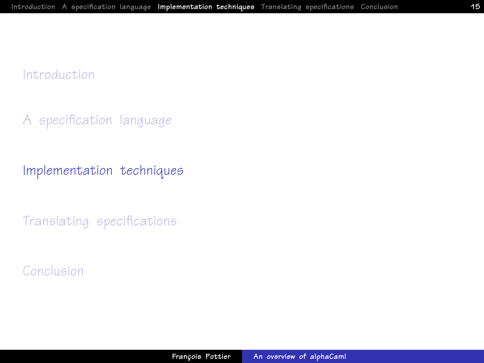[A specification language](#page-4-0)

[Implementation techniques](#page-14-0)

<span id="page-14-0"></span>[Translating specifications](#page-17-0)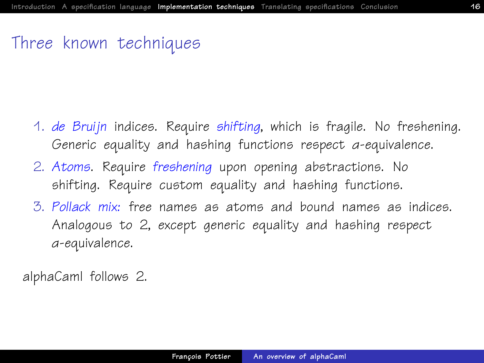## Three known techniques

- 1. de Bruijn indices. Require shifting, which is fragile. No freshening. Generic equality and hashing functions respect α-equivalence.
- <span id="page-15-0"></span>2. Atoms. Require freshening upon opening abstractions. No shifting. Require custom equality and hashing functions.
- 3. Pollack mix: free names as atoms and bound names as indices. Analogous to [2,](#page-15-0) except generic equality and hashing respect α-equivalence.

alphaCaml follows [2.](#page-15-0)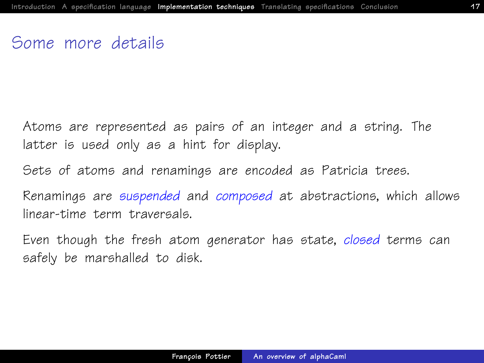## Some more details

Atoms are represented as pairs of an integer and a string. The latter is used only as a hint for display.

Sets of atoms and renamings are encoded as Patricia trees.

Renamings are suspended and composed at abstractions, which allows linear-time term traversals.

Even though the fresh atom generator has state, closed terms can safely be marshalled to disk.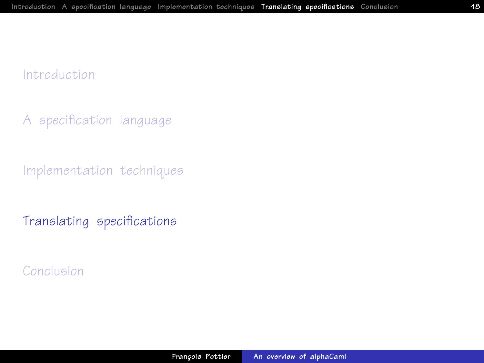[A specification language](#page-4-0)

[Implementation techniques](#page-14-0)

<span id="page-17-0"></span>[Translating specifications](#page-17-0)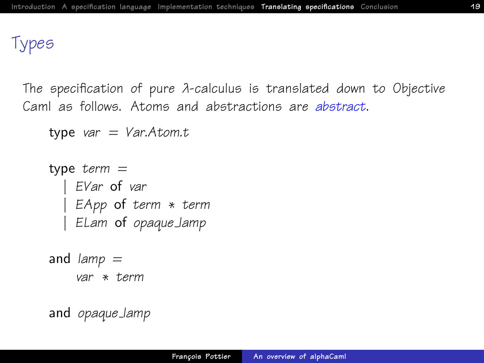## Types

The specification of pure λ-calculus is translated down to Objective Caml as follows. Atoms and abstractions are abstract.

```
type var = Var.Atom.t
```

```
type term =EVar of var
 | EApp of term ∗ term
 ELam of opaque_lamp
```

```
and lamp =var * term
```

```
and opaque lamp
```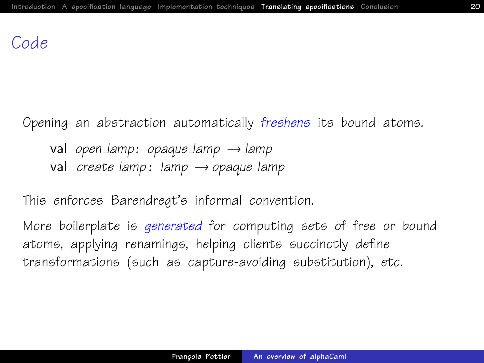### Code

Opening an abstraction automatically freshens its bound atoms.

val open lamp: opaque lamp  $\rightarrow$  lamp val create lamp : lamp  $\rightarrow$  opaque lamp

This enforces Barendregt's informal convention.

More boilerplate is *generated* for computing sets of free or bound atoms, applying renamings, helping clients succinctly define transformations (such as capture-avoiding substitution), etc.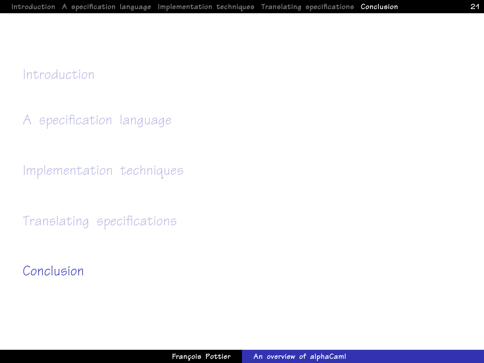[A specification language](#page-4-0)

[Implementation techniques](#page-14-0)

<span id="page-20-0"></span>[Translating specifications](#page-17-0)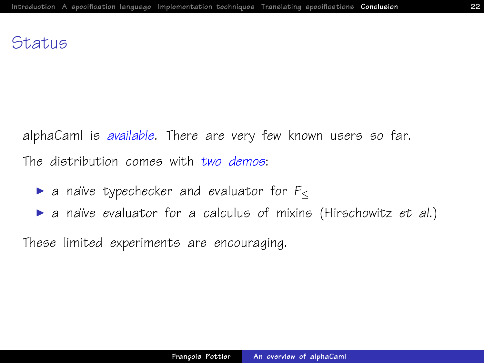### **Status**

alphaCaml is available. There are very few known users so far. The distribution comes with two demos:

- ightharpoonup a naïve typechecker and evaluator for  $F_{\leq}$
- ▶ a naïve evaluator for a calculus of mixins (Hirschowitz et al.)

These limited experiments are encouraging.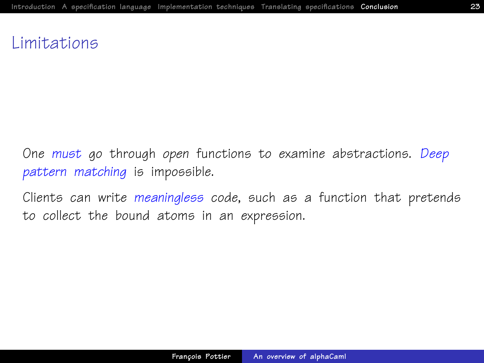## Limitations

One must go through open functions to examine abstractions. Deep pattern matching is impossible.

Clients can write meaningless code, such as a function that pretends to collect the bound atoms in an expression.